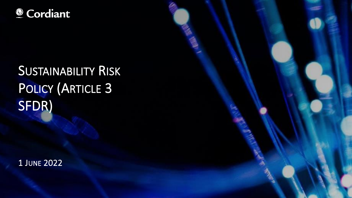### © Cordiant

# **SUSTAINABILITY RISK** POLICY (ARTICLE 3 SFDR)

1 JUNE 2022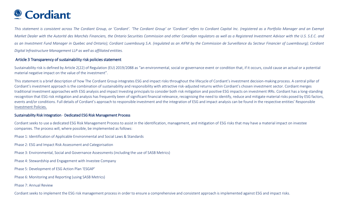### <sup>©</sup> Cordiant

This statement is consistent across The Cordiant Group, or 'Cordiant'. 'The Cordiant Group' or 'Cordiant' refers to Cordiant Capital Inc. (registered as a Portfolio Manager and an Exempt Market Dealer with the Autorité des Marchés Financiers, the Ontario Securities Commission and other Canadian regulators as well as a Registered Investment Advisor with the U.S. S.E.C. and as an Investment Fund Manager in Quebec and Ontario); Cordiant Luxembourg S.A. (regulated as an AIFM by the Commission de Surveillance du Secteur Financier of Luxembourg); Cordiant *Digital Infrastructure Management LLP as well as affiliated entities.*

#### Article 3 Transparency of sustainability risk policies statement

Sustainability risk is defined by Article 2(22) of Regulation (EU) 2019/2088 as "an environmental, social or governance event or condition that, if it occurs, could cause an actual or a potential material negative impact on the value of the investment".

This statement is a brief description of how The Cordiant Group integrates ESG and impact risks throughout the lifecycle of Cordiant's investment decision-making process. A central pillar of Cordiant's investment approach is the combination of sustainability and responsibility with attractive risk-adjusted returns within Cordiant's chosen investment sector. Cordiant merges traditional investment approaches with ESG analysis and impact Investing principals to consider both risk mitigation and positive ESG impacts on investment IRRs. Cordiant has a long-standing recognition that ESG risk mitigation and analysis has frequently been of significant financial relevance, recognising the need to identify, reduce and mitigate material risks posed by ESG factors, events and/or conditions. Full details of Cordiant's approach to responsible investment and the integration of ESG and impact analysis can be found in the respective entities' Responsible Investment Policies.

#### Sustainability Risk Integration - Dedicated ESG Risk Management Process

Cordiant seeks to use a dedicated ESG Risk Management Process to assist in the identification, management, and mitigation of ESG risks that may have a material impact on investee companies. The process will, where possible, be implemented as follows:

Phase 1: Identification of Applicable Environmental and Social Laws & Standards

Phase 2: ESG and Impact Risk Assessment and Categorisation

Phase 3: Environmental, Social and Governance Assessments (including the use of SASB Metrics)

Phase 4: Stewardship and Engagement with Investee Company

Phase 5: Development of ESG Action Plan 'ESGAP'

Phase 6: Monitoring and Reporting (using SASB Metrics)

Phase 7: Annual Review

Cordiant seeks to implement the ESG risk management process in order to ensure a comprehensive and consistent approach is implemented against ESG and impact risks.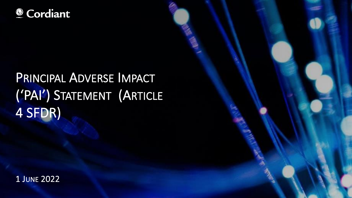### © Cordiant

## PRINCIPAL ADVERSE IMPACT ('PAI') STATEMENT (ARTICLE 4 SFDR)

1 JUNE 2022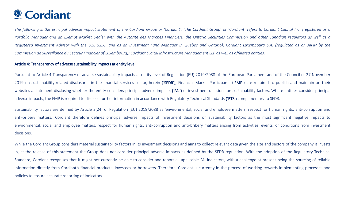### <sup>©</sup> Cordiant

The following is the principal adverse impact statement of the Cordiant Group or 'Cordiant'. 'The Cordiant Group' or 'Cordiant' refers to Cordiant Capital Inc. (registered as a Portfolio Manager and an Exempt Market Dealer with the Autorité des Marchés Financiers, the Ontario Securities Commission and other Canadian regulators as well as a Registered Investment Advisor with the U.S. S.E.C. and as an Investment Fund Manager in Quebec and Ontario); Cordiant Luxembourg S.A. (regulated as an AIFM by the Commission de Surveillance du Secteur Financier of Luxembourg); Cordiant Digital Infrastructure Management LLP as well as affiliated entities.

#### Article 4: Transparency of adverse sustainability impacts at entity level

Pursuant to Article 4 Transparency of adverse sustainability impacts at entity level of Regulation (EU) 2019/2088 of the European Parliament and of the Council of 27 November 2019 on sustainability-related disclosures in the financial services sector, herein ('SFDR'), Financial Market Participants ('FMP') are required to publish and maintain on their websites a statement disclosing whether the entity considers principal adverse impacts ('PAI') of investment decisions on sustainability factors. Where entities consider principal adverse impacts, the FMP is required to disclose further information in accordance with Regulatory Technical Standards ('RTS') complimentary to SFDR.

Sustainability factors are defined by Article 2(24) of Regulation (EU) 2019/2088 as 'environmental, social and employee matters, respect for human rights, anti-corruption and anti-bribery matters.' Cordiant therefore defines principal adverse impacts of investment decisions on sustainability factors as the most significant negative impacts to environmental, social and employee matters, respect for human rights, anti-corruption and anti-bribery matters arising from activities, events, or conditions from investment decisions.

While the Cordiant Group considers material sustainability factors in its investment decisions and aims to collect relevant data given the size and sectors of the company it invests in, at the release of this statement the Group does not consider principal adverse impacts as defined by the SFDR regulation. With the adoption of the Regulatory Technical Standard, Cordiant recognises that it might not currently be able to consider and report all applicable PAI indicators, with a challenge at present being the sourcing of reliable information directly from Cordiant's financial products' investees or borrowers. Therefore, Cordiant is currently in the process of working towards implementing processes and policies to ensure accurate reporting of indicators.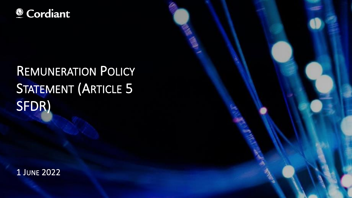### © Cordiant

## **REMUNERATION POLICY STATEMENT (ARTICLE 5** SFDR)

1 JUNE 2022